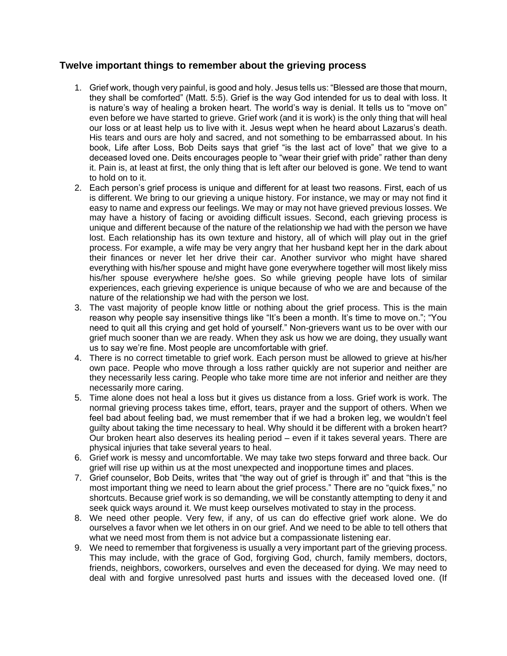## **Twelve important things to remember about the grieving process**

- 1. Grief work, though very painful, is good and holy. Jesus tells us: "Blessed are those that mourn, they shall be comforted" (Matt. 5:5). Grief is the way God intended for us to deal with loss. It is nature's way of healing a broken heart. The world's way is denial. It tells us to "move on" even before we have started to grieve. Grief work (and it is work) is the only thing that will heal our loss or at least help us to live with it. Jesus wept when he heard about Lazarus's death. His tears and ours are holy and sacred, and not something to be embarrassed about. In his book, Life after Loss, Bob Deits says that grief "is the last act of love" that we give to a deceased loved one. Deits encourages people to "wear their grief with pride" rather than deny it. Pain is, at least at first, the only thing that is left after our beloved is gone. We tend to want to hold on to it.
- 2. Each person's grief process is unique and different for at least two reasons. First, each of us is different. We bring to our grieving a unique history. For instance, we may or may not find it easy to name and express our feelings. We may or may not have grieved previous losses. We may have a history of facing or avoiding difficult issues. Second, each grieving process is unique and different because of the nature of the relationship we had with the person we have lost. Each relationship has its own texture and history, all of which will play out in the grief process. For example, a wife may be very angry that her husband kept her in the dark about their finances or never let her drive their car. Another survivor who might have shared everything with his/her spouse and might have gone everywhere together will most likely miss his/her spouse everywhere he/she goes. So while grieving people have lots of similar experiences, each grieving experience is unique because of who we are and because of the nature of the relationship we had with the person we lost.
- 3. The vast majority of people know little or nothing about the grief process. This is the main reason why people say insensitive things like "It's been a month. It's time to move on."; "You need to quit all this crying and get hold of yourself." Non-grievers want us to be over with our grief much sooner than we are ready. When they ask us how we are doing, they usually want us to say we're fine. Most people are uncomfortable with grief.
- 4. There is no correct timetable to grief work. Each person must be allowed to grieve at his/her own pace. People who move through a loss rather quickly are not superior and neither are they necessarily less caring. People who take more time are not inferior and neither are they necessarily more caring.
- 5. Time alone does not heal a loss but it gives us distance from a loss. Grief work is work. The normal grieving process takes time, effort, tears, prayer and the support of others. When we feel bad about feeling bad, we must remember that if we had a broken leg, we wouldn't feel guilty about taking the time necessary to heal. Why should it be different with a broken heart? Our broken heart also deserves its healing period – even if it takes several years. There are physical injuries that take several years to heal.
- 6. Grief work is messy and uncomfortable. We may take two steps forward and three back. Our grief will rise up within us at the most unexpected and inopportune times and places.
- 7. Grief counselor, Bob Deits, writes that "the way out of grief is through it" and that "this is the most important thing we need to learn about the grief process." There are no "quick fixes," no shortcuts. Because grief work is so demanding, we will be constantly attempting to deny it and seek quick ways around it. We must keep ourselves motivated to stay in the process.
- 8. We need other people. Very few, if any, of us can do effective grief work alone. We do ourselves a favor when we let others in on our grief. And we need to be able to tell others that what we need most from them is not advice but a compassionate listening ear.
- 9. We need to remember that forgiveness is usually a very important part of the grieving process. This may include, with the grace of God, forgiving God, church, family members, doctors, friends, neighbors, coworkers, ourselves and even the deceased for dying. We may need to deal with and forgive unresolved past hurts and issues with the deceased loved one. (If